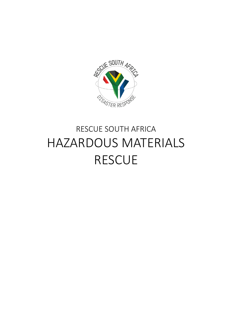

# RESCUE SOUTH AFRICA HAZARDOUS MATERIALS RESCUE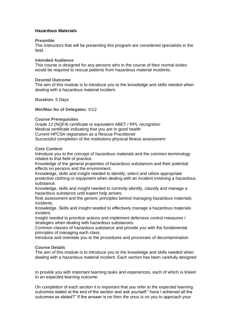# **Hazardous Materials**

## **Preamble**

The instructors that will be presenting this program are considered specialists in the field.

## **Intended Audience**

This course is designed for any persons who in the course of their normal duties would be required to rescue patients from hazardous material incidents.

## **Desired Outcome**

The aim of this module is to introduce you to the knowledge and skills needed when dealing with a hazardous material incident.

**Duration:** 5 Days

### **Min/Max No of Delegates:** 8/12

## **Course Prerequisites**

Grade 12 (NQF4) certificate or equivalent ABET / RPL recognition Medical certificate indicating that you are in good health Current HPCSA registration as a Rescue Practitioner Successful completion of the institutions physical fitness assessment

### **Core Content**

Introduce you to the concept of hazardous materials and the common terminology related to that field of practice.

Knowledge of the general properties of hazardous substances and their potential effects on persons and the environment.

Knowledge, skills and insight needed to identify, select and utilize appropriate protective clothing or equipment when dealing with an incident involving a hazardous substance.

Knowledge, skills and insight needed to correctly identify, classify and manage a hazardous substance until expert help arrives.

Risk assessment and the generic principles behind managing hazardous materials incidents.

Knowledge. Skills and insight needed to effectively manage a hazardous materials incident.

Insight needed to prioritize actions and implement defensive control measures / strategies when dealing with hazardous substances.

Common classes of hazardous substance and provide you with the fundamental principles of managing each class.

Introduce and orientate you to the procedures and processes of decontamination

## **Course Details**

The aim of this module is to introduce you to the knowledge and skills needed when dealing with a hazardous material incident. Each section has been carefully designed

to provide you with important learning tasks and experiences, each of which is linked to an expected learning outcome.

On completion of each section it is important that you refer to the expected learning outcomes stated at the end of the section and ask yourself:" have I achieved all the outcomes as stated?" If the answer is no then the onus is on you to approach your